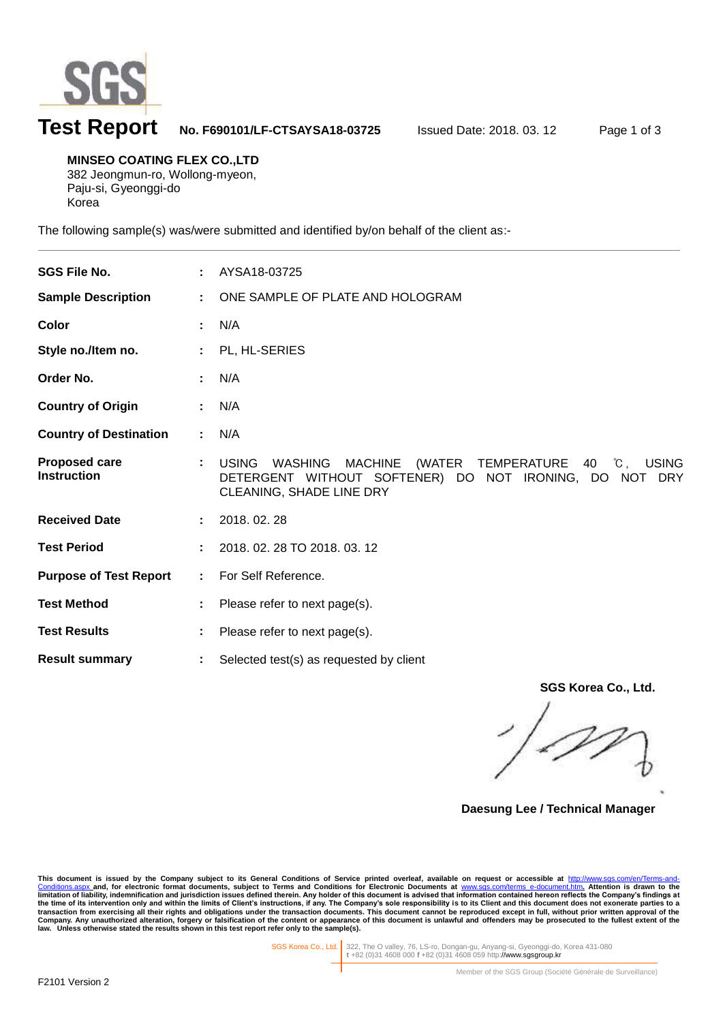

l

# **Test Report No. F690101/LF-CTSAYSA18-03725** Issued Date: 2018. 03. 12 Page 1 of 3

**MINSEO COATING FLEX CO.,LTD** 382 Jeongmun-ro, Wollong-myeon, Paju-si, Gyeonggi-do Korea

The following sample(s) was/were submitted and identified by/on behalf of the client as:-

| <b>SGS File No.</b>                        |    | AYSA18-03725                                                                                                                                                                 |
|--------------------------------------------|----|------------------------------------------------------------------------------------------------------------------------------------------------------------------------------|
| <b>Sample Description</b>                  | ÷. | ONE SAMPLE OF PLATE AND HOLOGRAM                                                                                                                                             |
| Color                                      |    | N/A                                                                                                                                                                          |
| Style no./Item no.                         |    | PL, HL-SERIES                                                                                                                                                                |
| Order No.                                  |    | N/A                                                                                                                                                                          |
| <b>Country of Origin</b>                   |    | N/A                                                                                                                                                                          |
| <b>Country of Destination</b>              |    | N/A                                                                                                                                                                          |
| <b>Proposed care</b><br><b>Instruction</b> |    | <b>USING</b><br>(WATER TEMPERATURE 40 °C,<br><b>USING</b><br>WASHING<br><b>MACHINE</b><br>DETERGENT WITHOUT SOFTENER) DO NOT IRONING, DO NOT DRY<br>CLEANING, SHADE LINE DRY |
| <b>Received Date</b>                       |    | 2018.02.28                                                                                                                                                                   |
| <b>Test Period</b>                         |    | 2018. 02. 28 TO 2018. 03. 12                                                                                                                                                 |
| <b>Purpose of Test Report</b>              | ÷. | For Self Reference.                                                                                                                                                          |
| <b>Test Method</b>                         |    | Please refer to next page(s).                                                                                                                                                |
| <b>Test Results</b>                        |    | Please refer to next page(s).                                                                                                                                                |
| <b>Result summary</b>                      |    | Selected test(s) as requested by client                                                                                                                                      |

**SGS Korea Co., Ltd.**

**Daesung Lee / Technical Manager**

This document is issued by the Company subject to its General Conditions of Service printed overleaf, available on request or accessible at http://www.sgs.com/en/Terms-and-Conditions for Service printed overleaf, available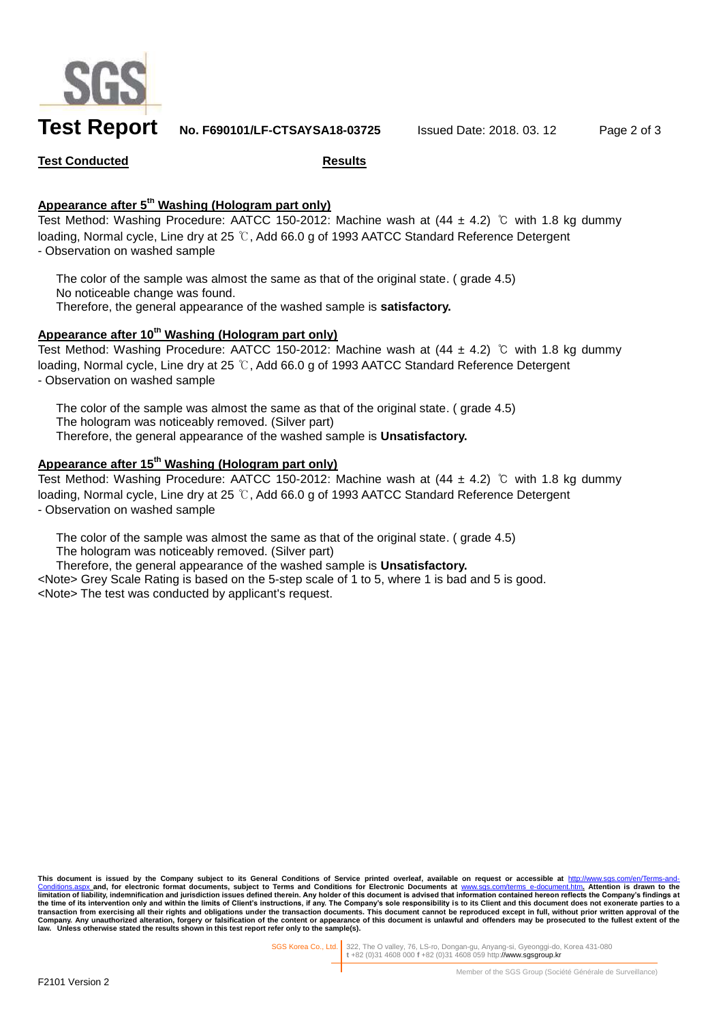

**Test Report No. F690101/LF-CTSAYSA18-03725** Issued Date: 2018. 03. 12 Page 2 of 3

### **Test Conducted Results**

## **Appearance after 5 th Washing (Hologram part only)**

Test Method: Washing Procedure: AATCC 150-2012: Machine wash at  $(44 \pm 4.2)$  ℃ with 1.8 kg dummy loading, Normal cycle, Line dry at 25 ℃, Add 66.0 g of 1993 AATCC Standard Reference Detergent - Observation on washed sample

The color of the sample was almost the same as that of the original state. ( grade 4.5) No noticeable change was found. Therefore, the general appearance of the washed sample is **satisfactory.**

#### **Appearance after 10th Washing (Hologram part only)**

Test Method: Washing Procedure: AATCC 150-2012: Machine wash at  $(44 \pm 4.2)$  ℃ with 1.8 kg dummy loading, Normal cycle, Line dry at 25 ℃, Add 66.0 g of 1993 AATCC Standard Reference Detergent - Observation on washed sample

The color of the sample was almost the same as that of the original state. (grade 4.5) The hologram was noticeably removed. (Silver part) Therefore, the general appearance of the washed sample is **Unsatisfactory.**

## **Appearance after 15 th Washing (Hologram part only)**

Test Method: Washing Procedure: AATCC 150-2012: Machine wash at (44 ± 4.2) ℃ with 1.8 kg dummy loading, Normal cycle, Line dry at 25 ℃, Add 66.0 g of 1993 AATCC Standard Reference Detergent - Observation on washed sample

The color of the sample was almost the same as that of the original state. ( grade 4.5) The hologram was noticeably removed. (Silver part)

Therefore, the general appearance of the washed sample is **Unsatisfactory.**

<Note> Grey Scale Rating is based on the 5-step scale of 1 to 5, where 1 is bad and 5 is good. <Note> The test was conducted by applicant's request.

This document is issued by the Company subject to its General Conditions of Service printed overleaf, available on request or accessible at <u>http://www.sgs.com/en/Terms-and-</u><br><u>[Conditions.aspx](http://www.sgs.com/en/Terms-and-Conditions.aspx) a</u>nd, for electronic format do **limitation of liability, indemnification and jurisdiction issues defined therein.** Any holder of this document is advised that information contained hereon reflects the Company's findings at limitation of liability, indem the time of its intervention only and within the limits of Client's instructions, if any. The Company's sole responsibility is to its Client and this document does not exonerate parties to a<br>transaction from exercising all **law. Unless otherwise stated the results shown in this test report refer only to the sample(s).**